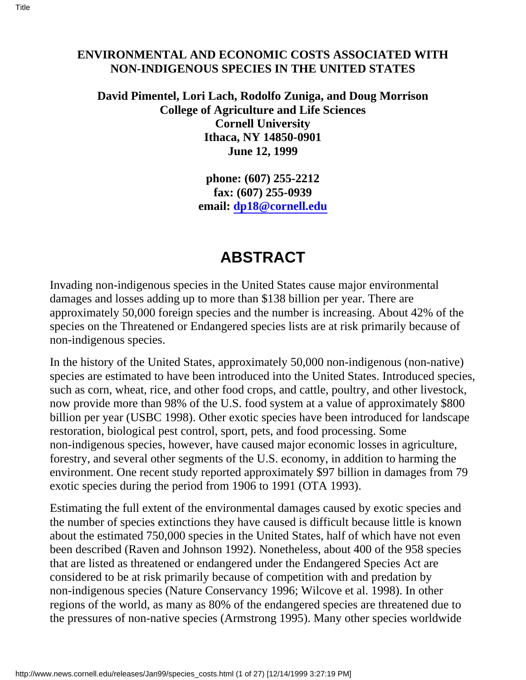#### **ENVIRONMENTAL AND ECONOMIC COSTS ASSOCIATED WITH NON-INDIGENOUS SPECIES IN THE UNITED STATES**

**David Pimentel, Lori Lach, Rodolfo Zuniga, and Doug Morrison College of Agriculture and Life Sciences Cornell University Ithaca, NY 14850-0901 June 12, 1999**

> **phone: (607) 255-2212 fax: (607) 255-0939 email: [dp18@cornell.edu](mailto:dp18@cornell.edu)**

## **ABSTRACT**

Invading non-indigenous species in the United States cause major environmental damages and losses adding up to more than \$138 billion per year. There are approximately 50,000 foreign species and the number is increasing. About 42% of the species on the Threatened or Endangered species lists are at risk primarily because of non-indigenous species.

In the history of the United States, approximately 50,000 non-indigenous (non-native) species are estimated to have been introduced into the United States. Introduced species, such as corn, wheat, rice, and other food crops, and cattle, poultry, and other livestock, now provide more than 98% of the U.S. food system at a value of approximately \$800 billion per year (USBC 1998). Other exotic species have been introduced for landscape restoration, biological pest control, sport, pets, and food processing. Some non-indigenous species, however, have caused major economic losses in agriculture, forestry, and several other segments of the U.S. economy, in addition to harming the environment. One recent study reported approximately \$97 billion in damages from 79 exotic species during the period from 1906 to 1991 (OTA 1993).

Estimating the full extent of the environmental damages caused by exotic species and the number of species extinctions they have caused is difficult because little is known about the estimated 750,000 species in the United States, half of which have not even been described (Raven and Johnson 1992). Nonetheless, about 400 of the 958 species that are listed as threatened or endangered under the Endangered Species Act are considered to be at risk primarily because of competition with and predation by non-indigenous species (Nature Conservancy 1996; Wilcove et al. 1998). In other regions of the world, as many as 80% of the endangered species are threatened due to the pressures of non-native species (Armstrong 1995). Many other species worldwide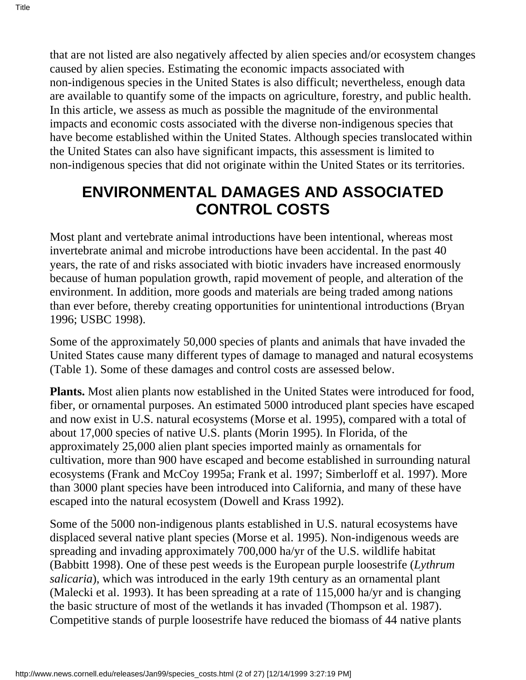that are not listed are also negatively affected by alien species and/or ecosystem changes caused by alien species. Estimating the economic impacts associated with non-indigenous species in the United States is also difficult; nevertheless, enough data are available to quantify some of the impacts on agriculture, forestry, and public health. In this article, we assess as much as possible the magnitude of the environmental impacts and economic costs associated with the diverse non-indigenous species that have become established within the United States. Although species translocated within the United States can also have significant impacts, this assessment is limited to non-indigenous species that did not originate within the United States or its territories.

### **ENVIRONMENTAL DAMAGES AND ASSOCIATED CONTROL COSTS**

Most plant and vertebrate animal introductions have been intentional, whereas most invertebrate animal and microbe introductions have been accidental. In the past 40 years, the rate of and risks associated with biotic invaders have increased enormously because of human population growth, rapid movement of people, and alteration of the environment. In addition, more goods and materials are being traded among nations than ever before, thereby creating opportunities for unintentional introductions (Bryan 1996; USBC 1998).

Some of the approximately 50,000 species of plants and animals that have invaded the United States cause many different types of damage to managed and natural ecosystems (Table 1). Some of these damages and control costs are assessed below.

**Plants.** Most alien plants now established in the United States were introduced for food, fiber, or ornamental purposes. An estimated 5000 introduced plant species have escaped and now exist in U.S. natural ecosystems (Morse et al. 1995), compared with a total of about 17,000 species of native U.S. plants (Morin 1995). In Florida, of the approximately 25,000 alien plant species imported mainly as ornamentals for cultivation, more than 900 have escaped and become established in surrounding natural ecosystems (Frank and McCoy 1995a; Frank et al. 1997; Simberloff et al. 1997). More than 3000 plant species have been introduced into California, and many of these have escaped into the natural ecosystem (Dowell and Krass 1992).

Some of the 5000 non-indigenous plants established in U.S. natural ecosystems have displaced several native plant species (Morse et al. 1995). Non-indigenous weeds are spreading and invading approximately 700,000 ha/yr of the U.S. wildlife habitat (Babbitt 1998). One of these pest weeds is the European purple loosestrife (*Lythrum salicaria*), which was introduced in the early 19th century as an ornamental plant (Malecki et al. 1993). It has been spreading at a rate of 115,000 ha/yr and is changing the basic structure of most of the wetlands it has invaded (Thompson et al. 1987). Competitive stands of purple loosestrife have reduced the biomass of 44 native plants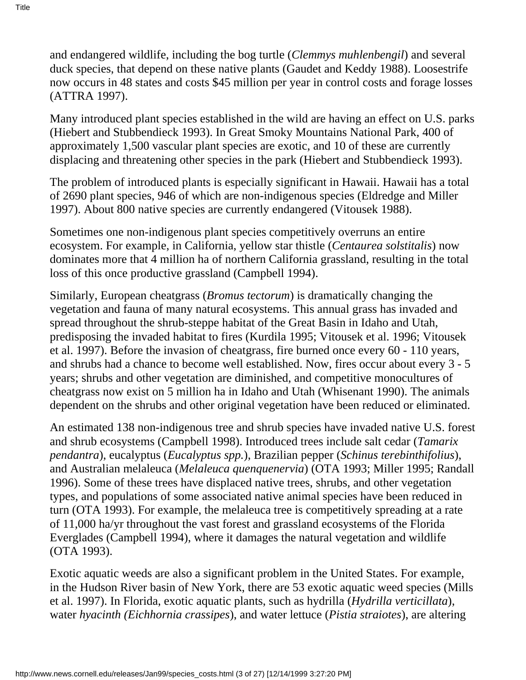Title

and endangered wildlife, including the bog turtle (*Clemmys muhlenbengil*) and several duck species, that depend on these native plants (Gaudet and Keddy 1988). Loosestrife now occurs in 48 states and costs \$45 million per year in control costs and forage losses (ATTRA 1997).

Many introduced plant species established in the wild are having an effect on U.S. parks (Hiebert and Stubbendieck 1993). In Great Smoky Mountains National Park, 400 of approximately 1,500 vascular plant species are exotic, and 10 of these are currently displacing and threatening other species in the park (Hiebert and Stubbendieck 1993).

The problem of introduced plants is especially significant in Hawaii. Hawaii has a total of 2690 plant species, 946 of which are non-indigenous species (Eldredge and Miller 1997). About 800 native species are currently endangered (Vitousek 1988).

Sometimes one non-indigenous plant species competitively overruns an entire ecosystem. For example, in California, yellow star thistle (*Centaurea solstitalis*) now dominates more that 4 million ha of northern California grassland, resulting in the total loss of this once productive grassland (Campbell 1994).

Similarly, European cheatgrass (*Bromus tectorum*) is dramatically changing the vegetation and fauna of many natural ecosystems. This annual grass has invaded and spread throughout the shrub-steppe habitat of the Great Basin in Idaho and Utah, predisposing the invaded habitat to fires (Kurdila 1995; Vitousek et al. 1996; Vitousek et al. 1997). Before the invasion of cheatgrass, fire burned once every 60 - 110 years, and shrubs had a chance to become well established. Now, fires occur about every 3 - 5 years; shrubs and other vegetation are diminished, and competitive monocultures of cheatgrass now exist on 5 million ha in Idaho and Utah (Whisenant 1990). The animals dependent on the shrubs and other original vegetation have been reduced or eliminated.

An estimated 138 non-indigenous tree and shrub species have invaded native U.S. forest and shrub ecosystems (Campbell 1998). Introduced trees include salt cedar (*Tamarix pendantra*), eucalyptus (*Eucalyptus spp.*), Brazilian pepper (*Schinus terebinthifolius*), and Australian melaleuca (*Melaleuca quenquenervia*) (OTA 1993; Miller 1995; Randall 1996). Some of these trees have displaced native trees, shrubs, and other vegetation types, and populations of some associated native animal species have been reduced in turn (OTA 1993). For example, the melaleuca tree is competitively spreading at a rate of 11,000 ha/yr throughout the vast forest and grassland ecosystems of the Florida Everglades (Campbell 1994), where it damages the natural vegetation and wildlife (OTA 1993).

Exotic aquatic weeds are also a significant problem in the United States. For example, in the Hudson River basin of New York, there are 53 exotic aquatic weed species (Mills et al. 1997). In Florida, exotic aquatic plants, such as hydrilla (*Hydrilla verticillata*), water *hyacinth (Eichhornia crassipes*), and water lettuce (*Pistia straiotes*), are altering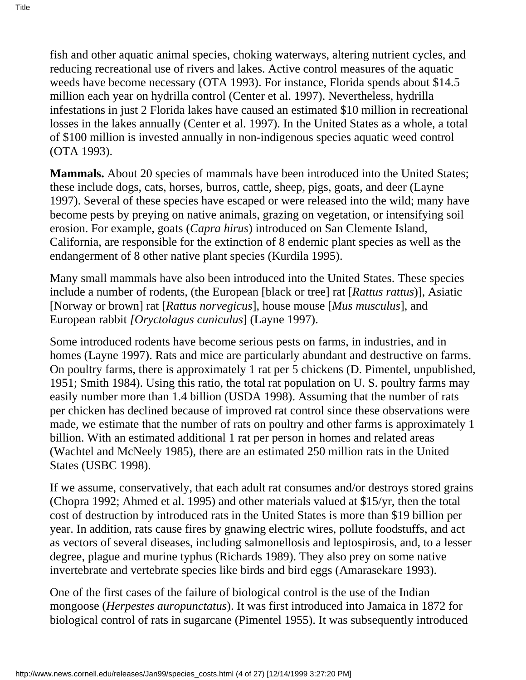fish and other aquatic animal species, choking waterways, altering nutrient cycles, and reducing recreational use of rivers and lakes. Active control measures of the aquatic weeds have become necessary (OTA 1993). For instance, Florida spends about \$14.5 million each year on hydrilla control (Center et al. 1997). Nevertheless, hydrilla infestations in just 2 Florida lakes have caused an estimated \$10 million in recreational losses in the lakes annually (Center et al. 1997). In the United States as a whole, a total of \$100 million is invested annually in non-indigenous species aquatic weed control (OTA 1993).

**Mammals.** About 20 species of mammals have been introduced into the United States; these include dogs, cats, horses, burros, cattle, sheep, pigs, goats, and deer (Layne 1997). Several of these species have escaped or were released into the wild; many have become pests by preying on native animals, grazing on vegetation, or intensifying soil erosion. For example, goats (*Capra hirus*) introduced on San Clemente Island, California, are responsible for the extinction of 8 endemic plant species as well as the endangerment of 8 other native plant species (Kurdila 1995).

Many small mammals have also been introduced into the United States. These species include a number of rodents, (the European [black or tree] rat [*Rattus rattus*)], Asiatic [Norway or brown] rat [*Rattus norvegicus*], house mouse [*Mus musculus*], and European rabbit *[Oryctolagus cuniculus*] (Layne 1997).

Some introduced rodents have become serious pests on farms, in industries, and in homes (Layne 1997). Rats and mice are particularly abundant and destructive on farms. On poultry farms, there is approximately 1 rat per 5 chickens (D. Pimentel, unpublished, 1951; Smith 1984). Using this ratio, the total rat population on U. S. poultry farms may easily number more than 1.4 billion (USDA 1998). Assuming that the number of rats per chicken has declined because of improved rat control since these observations were made, we estimate that the number of rats on poultry and other farms is approximately 1 billion. With an estimated additional 1 rat per person in homes and related areas (Wachtel and McNeely 1985), there are an estimated 250 million rats in the United States (USBC 1998).

If we assume, conservatively, that each adult rat consumes and/or destroys stored grains (Chopra 1992; Ahmed et al. 1995) and other materials valued at \$15/yr, then the total cost of destruction by introduced rats in the United States is more than \$19 billion per year. In addition, rats cause fires by gnawing electric wires, pollute foodstuffs, and act as vectors of several diseases, including salmonellosis and leptospirosis, and, to a lesser degree, plague and murine typhus (Richards 1989). They also prey on some native invertebrate and vertebrate species like birds and bird eggs (Amarasekare 1993).

One of the first cases of the failure of biological control is the use of the Indian mongoose (*Herpestes auropunctatus*). It was first introduced into Jamaica in 1872 for biological control of rats in sugarcane (Pimentel 1955). It was subsequently introduced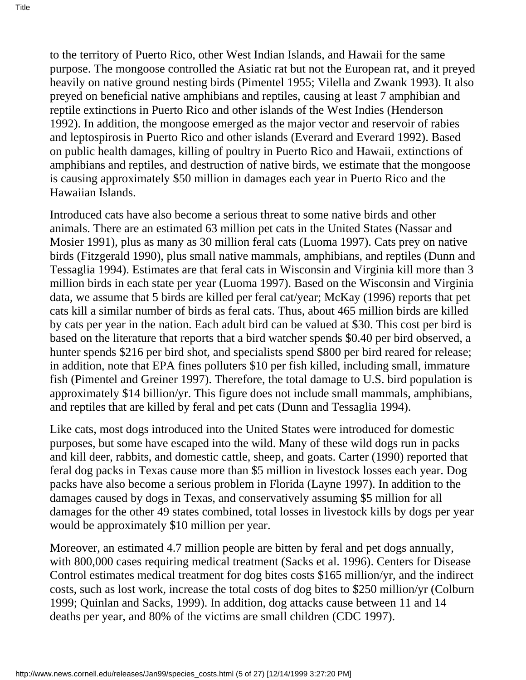Title

to the territory of Puerto Rico, other West Indian Islands, and Hawaii for the same purpose. The mongoose controlled the Asiatic rat but not the European rat, and it preyed heavily on native ground nesting birds (Pimentel 1955; Vilella and Zwank 1993). It also preyed on beneficial native amphibians and reptiles, causing at least 7 amphibian and reptile extinctions in Puerto Rico and other islands of the West Indies (Henderson 1992). In addition, the mongoose emerged as the major vector and reservoir of rabies and leptospirosis in Puerto Rico and other islands (Everard and Everard 1992). Based on public health damages, killing of poultry in Puerto Rico and Hawaii, extinctions of amphibians and reptiles, and destruction of native birds, we estimate that the mongoose is causing approximately \$50 million in damages each year in Puerto Rico and the Hawaiian Islands.

Introduced cats have also become a serious threat to some native birds and other animals. There are an estimated 63 million pet cats in the United States (Nassar and Mosier 1991), plus as many as 30 million feral cats (Luoma 1997). Cats prey on native birds (Fitzgerald 1990), plus small native mammals, amphibians, and reptiles (Dunn and Tessaglia 1994). Estimates are that feral cats in Wisconsin and Virginia kill more than 3 million birds in each state per year (Luoma 1997). Based on the Wisconsin and Virginia data, we assume that 5 birds are killed per feral cat/year; McKay (1996) reports that pet cats kill a similar number of birds as feral cats. Thus, about 465 million birds are killed by cats per year in the nation. Each adult bird can be valued at \$30. This cost per bird is based on the literature that reports that a bird watcher spends \$0.40 per bird observed, a hunter spends \$216 per bird shot, and specialists spend \$800 per bird reared for release; in addition, note that EPA fines polluters \$10 per fish killed, including small, immature fish (Pimentel and Greiner 1997). Therefore, the total damage to U.S. bird population is approximately \$14 billion/yr. This figure does not include small mammals, amphibians, and reptiles that are killed by feral and pet cats (Dunn and Tessaglia 1994).

Like cats, most dogs introduced into the United States were introduced for domestic purposes, but some have escaped into the wild. Many of these wild dogs run in packs and kill deer, rabbits, and domestic cattle, sheep, and goats. Carter (1990) reported that feral dog packs in Texas cause more than \$5 million in livestock losses each year. Dog packs have also become a serious problem in Florida (Layne 1997). In addition to the damages caused by dogs in Texas, and conservatively assuming \$5 million for all damages for the other 49 states combined, total losses in livestock kills by dogs per year would be approximately \$10 million per year.

Moreover, an estimated 4.7 million people are bitten by feral and pet dogs annually, with 800,000 cases requiring medical treatment (Sacks et al. 1996). Centers for Disease Control estimates medical treatment for dog bites costs \$165 million/yr, and the indirect costs, such as lost work, increase the total costs of dog bites to \$250 million/yr (Colburn 1999; Quinlan and Sacks, 1999). In addition, dog attacks cause between 11 and 14 deaths per year, and 80% of the victims are small children (CDC 1997).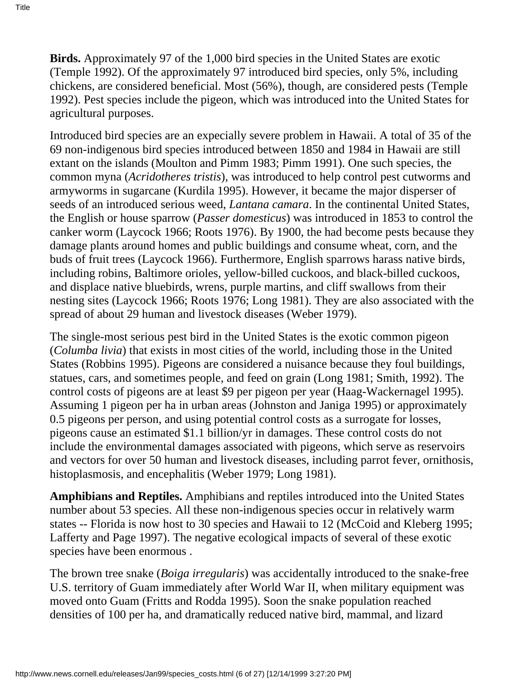**Birds.** Approximately 97 of the 1,000 bird species in the United States are exotic (Temple 1992). Of the approximately 97 introduced bird species, only 5%, including chickens, are considered beneficial. Most (56%), though, are considered pests (Temple 1992). Pest species include the pigeon, which was introduced into the United States for agricultural purposes.

Introduced bird species are an expecially severe problem in Hawaii. A total of 35 of the 69 non-indigenous bird species introduced between 1850 and 1984 in Hawaii are still extant on the islands (Moulton and Pimm 1983; Pimm 1991). One such species, the common myna (*Acridotheres tristis*), was introduced to help control pest cutworms and armyworms in sugarcane (Kurdila 1995). However, it became the major disperser of seeds of an introduced serious weed, *Lantana camara*. In the continental United States, the English or house sparrow (*Passer domesticus*) was introduced in 1853 to control the canker worm (Laycock 1966; Roots 1976). By 1900, the had become pests because they damage plants around homes and public buildings and consume wheat, corn, and the buds of fruit trees (Laycock 1966). Furthermore, English sparrows harass native birds, including robins, Baltimore orioles, yellow-billed cuckoos, and black-billed cuckoos, and displace native bluebirds, wrens, purple martins, and cliff swallows from their nesting sites (Laycock 1966; Roots 1976; Long 1981). They are also associated with the spread of about 29 human and livestock diseases (Weber 1979).

The single-most serious pest bird in the United States is the exotic common pigeon (*Columba livia*) that exists in most cities of the world, including those in the United States (Robbins 1995). Pigeons are considered a nuisance because they foul buildings, statues, cars, and sometimes people, and feed on grain (Long 1981; Smith, 1992). The control costs of pigeons are at least \$9 per pigeon per year (Haag-Wackernagel 1995). Assuming 1 pigeon per ha in urban areas (Johnston and Janiga 1995) or approximately 0.5 pigeons per person, and using potential control costs as a surrogate for losses, pigeons cause an estimated \$1.1 billion/yr in damages. These control costs do not include the environmental damages associated with pigeons, which serve as reservoirs and vectors for over 50 human and livestock diseases, including parrot fever, ornithosis, histoplasmosis, and encephalitis (Weber 1979; Long 1981).

**Amphibians and Reptiles.** Amphibians and reptiles introduced into the United States number about 53 species. All these non-indigenous species occur in relatively warm states -- Florida is now host to 30 species and Hawaii to 12 (McCoid and Kleberg 1995; Lafferty and Page 1997). The negative ecological impacts of several of these exotic species have been enormous .

The brown tree snake (*Boiga irregularis*) was accidentally introduced to the snake-free U.S. territory of Guam immediately after World War II, when military equipment was moved onto Guam (Fritts and Rodda 1995). Soon the snake population reached densities of 100 per ha, and dramatically reduced native bird, mammal, and lizard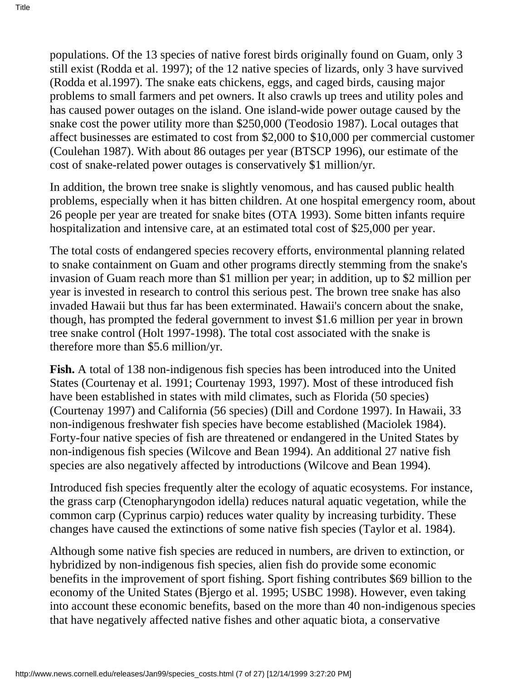populations. Of the 13 species of native forest birds originally found on Guam, only 3 still exist (Rodda et al. 1997); of the 12 native species of lizards, only 3 have survived (Rodda et al.1997). The snake eats chickens, eggs, and caged birds, causing major problems to small farmers and pet owners. It also crawls up trees and utility poles and has caused power outages on the island. One island-wide power outage caused by the snake cost the power utility more than \$250,000 (Teodosio 1987). Local outages that affect businesses are estimated to cost from \$2,000 to \$10,000 per commercial customer (Coulehan 1987). With about 86 outages per year (BTSCP 1996), our estimate of the cost of snake-related power outages is conservatively \$1 million/yr.

In addition, the brown tree snake is slightly venomous, and has caused public health problems, especially when it has bitten children. At one hospital emergency room, about 26 people per year are treated for snake bites (OTA 1993). Some bitten infants require hospitalization and intensive care, at an estimated total cost of \$25,000 per year.

The total costs of endangered species recovery efforts, environmental planning related to snake containment on Guam and other programs directly stemming from the snake's invasion of Guam reach more than \$1 million per year; in addition, up to \$2 million per year is invested in research to control this serious pest. The brown tree snake has also invaded Hawaii but thus far has been exterminated. Hawaii's concern about the snake, though, has prompted the federal government to invest \$1.6 million per year in brown tree snake control (Holt 1997-1998). The total cost associated with the snake is therefore more than \$5.6 million/yr.

**Fish.** A total of 138 non-indigenous fish species has been introduced into the United States (Courtenay et al. 1991; Courtenay 1993, 1997). Most of these introduced fish have been established in states with mild climates, such as Florida (50 species) (Courtenay 1997) and California (56 species) (Dill and Cordone 1997). In Hawaii, 33 non-indigenous freshwater fish species have become established (Maciolek 1984). Forty-four native species of fish are threatened or endangered in the United States by non-indigenous fish species (Wilcove and Bean 1994). An additional 27 native fish species are also negatively affected by introductions (Wilcove and Bean 1994).

Introduced fish species frequently alter the ecology of aquatic ecosystems. For instance, the grass carp (Ctenopharyngodon idella) reduces natural aquatic vegetation, while the common carp (Cyprinus carpio) reduces water quality by increasing turbidity. These changes have caused the extinctions of some native fish species (Taylor et al. 1984).

Although some native fish species are reduced in numbers, are driven to extinction, or hybridized by non-indigenous fish species, alien fish do provide some economic benefits in the improvement of sport fishing. Sport fishing contributes \$69 billion to the economy of the United States (Bjergo et al. 1995; USBC 1998). However, even taking into account these economic benefits, based on the more than 40 non-indigenous species that have negatively affected native fishes and other aquatic biota, a conservative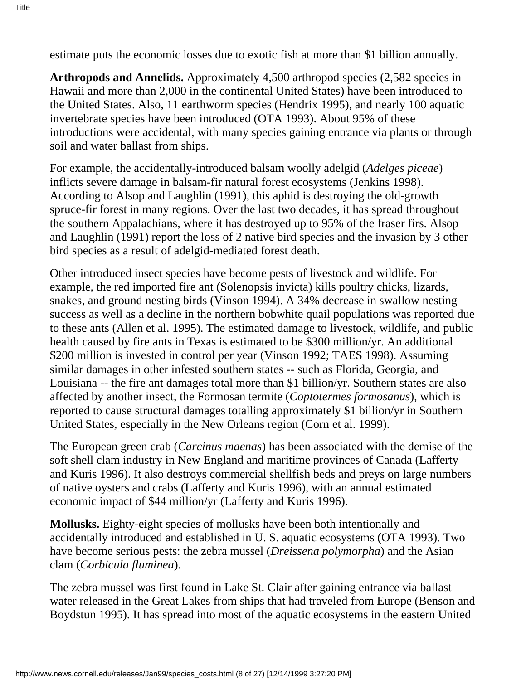estimate puts the economic losses due to exotic fish at more than \$1 billion annually.

**Arthropods and Annelids.** Approximately 4,500 arthropod species (2,582 species in Hawaii and more than 2,000 in the continental United States) have been introduced to the United States. Also, 11 earthworm species (Hendrix 1995), and nearly 100 aquatic invertebrate species have been introduced (OTA 1993). About 95% of these introductions were accidental, with many species gaining entrance via plants or through soil and water ballast from ships.

For example, the accidentally-introduced balsam woolly adelgid (*Adelges piceae*) inflicts severe damage in balsam-fir natural forest ecosystems (Jenkins 1998). According to Alsop and Laughlin (1991), this aphid is destroying the old-growth spruce-fir forest in many regions. Over the last two decades, it has spread throughout the southern Appalachians, where it has destroyed up to 95% of the fraser firs. Alsop and Laughlin (1991) report the loss of 2 native bird species and the invasion by 3 other bird species as a result of adelgid-mediated forest death.

Other introduced insect species have become pests of livestock and wildlife. For example, the red imported fire ant (Solenopsis invicta) kills poultry chicks, lizards, snakes, and ground nesting birds (Vinson 1994). A 34% decrease in swallow nesting success as well as a decline in the northern bobwhite quail populations was reported due to these ants (Allen et al. 1995). The estimated damage to livestock, wildlife, and public health caused by fire ants in Texas is estimated to be \$300 million/yr. An additional \$200 million is invested in control per year (Vinson 1992; TAES 1998). Assuming similar damages in other infested southern states -- such as Florida, Georgia, and Louisiana -- the fire ant damages total more than \$1 billion/yr. Southern states are also affected by another insect, the Formosan termite (*Coptotermes formosanus*), which is reported to cause structural damages totalling approximately \$1 billion/yr in Southern United States, especially in the New Orleans region (Corn et al. 1999).

The European green crab (*Carcinus maenas*) has been associated with the demise of the soft shell clam industry in New England and maritime provinces of Canada (Lafferty and Kuris 1996). It also destroys commercial shellfish beds and preys on large numbers of native oysters and crabs (Lafferty and Kuris 1996), with an annual estimated economic impact of \$44 million/yr (Lafferty and Kuris 1996).

**Mollusks.** Eighty-eight species of mollusks have been both intentionally and accidentally introduced and established in U. S. aquatic ecosystems (OTA 1993). Two have become serious pests: the zebra mussel (*Dreissena polymorpha*) and the Asian clam (*Corbicula fluminea*).

The zebra mussel was first found in Lake St. Clair after gaining entrance via ballast water released in the Great Lakes from ships that had traveled from Europe (Benson and Boydstun 1995). It has spread into most of the aquatic ecosystems in the eastern United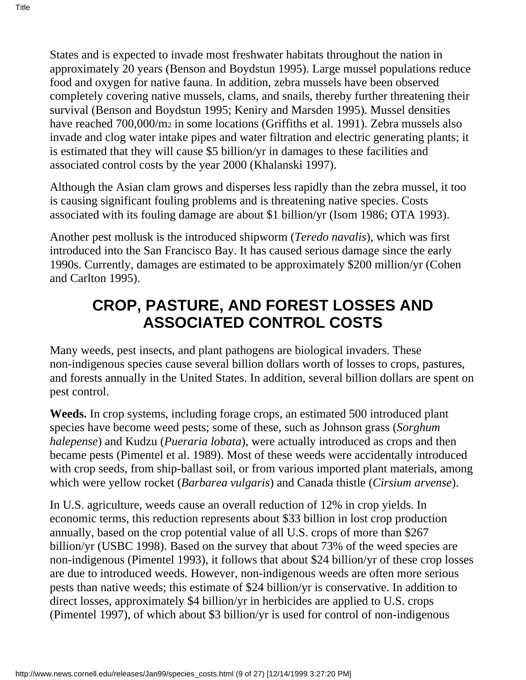States and is expected to invade most freshwater habitats throughout the nation in approximately 20 years (Benson and Boydstun 1995). Large mussel populations reduce food and oxygen for native fauna. In addition, zebra mussels have been observed completely covering native mussels, clams, and snails, thereby further threatening their survival (Benson and Boydstun 1995; Keniry and Marsden 1995). Mussel densities have reached 700,000/m2 in some locations (Griffiths et al. 1991). Zebra mussels also invade and clog water intake pipes and water filtration and electric generating plants; it is estimated that they will cause \$5 billion/yr in damages to these facilities and associated control costs by the year 2000 (Khalanski 1997).

Although the Asian clam grows and disperses less rapidly than the zebra mussel, it too is causing significant fouling problems and is threatening native species. Costs associated with its fouling damage are about \$1 billion/yr (Isom 1986; OTA 1993).

Another pest mollusk is the introduced shipworm (*Teredo navalis*), which was first introduced into the San Francisco Bay. It has caused serious damage since the early 1990s. Currently, damages are estimated to be approximately \$200 million/yr (Cohen and Carlton 1995).

## **CROP, PASTURE, AND FOREST LOSSES AND ASSOCIATED CONTROL COSTS**

Many weeds, pest insects, and plant pathogens are biological invaders. These non-indigenous species cause several billion dollars worth of losses to crops, pastures, and forests annually in the United States. In addition, several billion dollars are spent on pest control.

**Weeds.** In crop systems, including forage crops, an estimated 500 introduced plant species have become weed pests; some of these, such as Johnson grass (*Sorghum halepense*) and Kudzu (*Pueraria lobata*), were actually introduced as crops and then became pests (Pimentel et al. 1989). Most of these weeds were accidentally introduced with crop seeds, from ship-ballast soil, or from various imported plant materials, among which were yellow rocket (*Barbarea vulgaris*) and Canada thistle (*Cirsium arvense*).

In U.S. agriculture, weeds cause an overall reduction of 12% in crop yields. In economic terms, this reduction represents about \$33 billion in lost crop production annually, based on the crop potential value of all U.S. crops of more than \$267 billion/yr (USBC 1998). Based on the survey that about 73% of the weed species are non-indigenous (Pimentel 1993), it follows that about \$24 billion/yr of these crop losses are due to introduced weeds. However, non-indigenous weeds are often more serious pests than native weeds; this estimate of \$24 billion/yr is conservative. In addition to direct losses, approximately \$4 billion/yr in herbicides are applied to U.S. crops (Pimentel 1997), of which about \$3 billion/yr is used for control of non-indigenous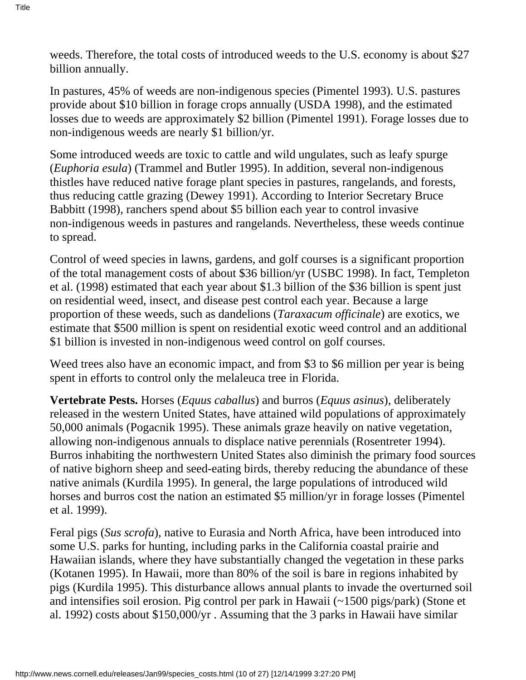Title

weeds. Therefore, the total costs of introduced weeds to the U.S. economy is about \$27 billion annually.

In pastures, 45% of weeds are non-indigenous species (Pimentel 1993). U.S. pastures provide about \$10 billion in forage crops annually (USDA 1998), and the estimated losses due to weeds are approximately \$2 billion (Pimentel 1991). Forage losses due to non-indigenous weeds are nearly \$1 billion/yr.

Some introduced weeds are toxic to cattle and wild ungulates, such as leafy spurge (*Euphoria esula*) (Trammel and Butler 1995). In addition, several non-indigenous thistles have reduced native forage plant species in pastures, rangelands, and forests, thus reducing cattle grazing (Dewey 1991). According to Interior Secretary Bruce Babbitt (1998), ranchers spend about \$5 billion each year to control invasive non-indigenous weeds in pastures and rangelands. Nevertheless, these weeds continue to spread.

Control of weed species in lawns, gardens, and golf courses is a significant proportion of the total management costs of about \$36 billion/yr (USBC 1998). In fact, Templeton et al. (1998) estimated that each year about \$1.3 billion of the \$36 billion is spent just on residential weed, insect, and disease pest control each year. Because a large proportion of these weeds, such as dandelions (*Taraxacum officinale*) are exotics, we estimate that \$500 million is spent on residential exotic weed control and an additional \$1 billion is invested in non-indigenous weed control on golf courses.

Weed trees also have an economic impact, and from \$3 to \$6 million per year is being spent in efforts to control only the melaleuca tree in Florida.

**Vertebrate Pests.** Horses (*Equus caballus*) and burros (*Equus asinus*), deliberately released in the western United States, have attained wild populations of approximately 50,000 animals (Pogacnik 1995). These animals graze heavily on native vegetation, allowing non-indigenous annuals to displace native perennials (Rosentreter 1994). Burros inhabiting the northwestern United States also diminish the primary food sources of native bighorn sheep and seed-eating birds, thereby reducing the abundance of these native animals (Kurdila 1995). In general, the large populations of introduced wild horses and burros cost the nation an estimated \$5 million/yr in forage losses (Pimentel et al. 1999).

Feral pigs (*Sus scrofa*), native to Eurasia and North Africa, have been introduced into some U.S. parks for hunting, including parks in the California coastal prairie and Hawaiian islands, where they have substantially changed the vegetation in these parks (Kotanen 1995). In Hawaii, more than 80% of the soil is bare in regions inhabited by pigs (Kurdila 1995). This disturbance allows annual plants to invade the overturned soil and intensifies soil erosion. Pig control per park in Hawaii (~1500 pigs/park) (Stone et al. 1992) costs about \$150,000/yr . Assuming that the 3 parks in Hawaii have similar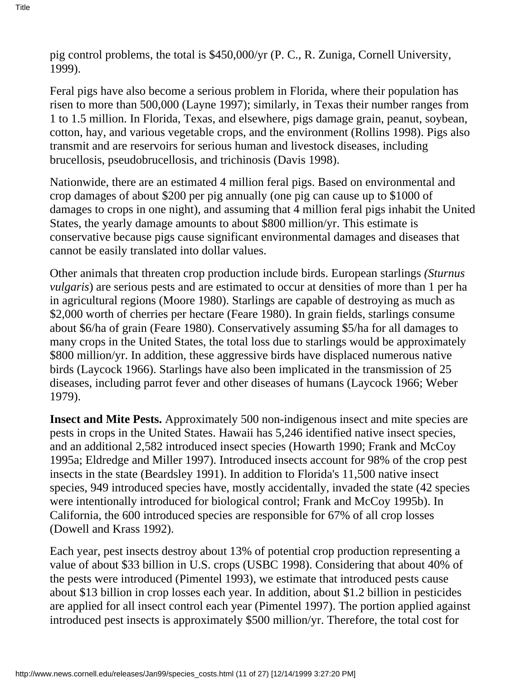pig control problems, the total is \$450,000/yr (P. C., R. Zuniga, Cornell University, 1999).

Feral pigs have also become a serious problem in Florida, where their population has risen to more than 500,000 (Layne 1997); similarly, in Texas their number ranges from 1 to 1.5 million. In Florida, Texas, and elsewhere, pigs damage grain, peanut, soybean, cotton, hay, and various vegetable crops, and the environment (Rollins 1998). Pigs also transmit and are reservoirs for serious human and livestock diseases, including brucellosis, pseudobrucellosis, and trichinosis (Davis 1998).

Nationwide, there are an estimated 4 million feral pigs. Based on environmental and crop damages of about \$200 per pig annually (one pig can cause up to \$1000 of damages to crops in one night), and assuming that 4 million feral pigs inhabit the United States, the yearly damage amounts to about \$800 million/yr. This estimate is conservative because pigs cause significant environmental damages and diseases that cannot be easily translated into dollar values.

Other animals that threaten crop production include birds. European starlings *(Sturnus vulgaris*) are serious pests and are estimated to occur at densities of more than 1 per ha in agricultural regions (Moore 1980). Starlings are capable of destroying as much as \$2,000 worth of cherries per hectare (Feare 1980). In grain fields, starlings consume about \$6/ha of grain (Feare 1980). Conservatively assuming \$5/ha for all damages to many crops in the United States, the total loss due to starlings would be approximately \$800 million/yr. In addition, these aggressive birds have displaced numerous native birds (Laycock 1966). Starlings have also been implicated in the transmission of 25 diseases, including parrot fever and other diseases of humans (Laycock 1966; Weber 1979).

**Insect and Mite Pests.** Approximately 500 non-indigenous insect and mite species are pests in crops in the United States. Hawaii has 5,246 identified native insect species, and an additional 2,582 introduced insect species (Howarth 1990; Frank and McCoy 1995a; Eldredge and Miller 1997). Introduced insects account for 98% of the crop pest insects in the state (Beardsley 1991). In addition to Florida's 11,500 native insect species, 949 introduced species have, mostly accidentally, invaded the state (42 species were intentionally introduced for biological control; Frank and McCoy 1995b). In California, the 600 introduced species are responsible for 67% of all crop losses (Dowell and Krass 1992).

Each year, pest insects destroy about 13% of potential crop production representing a value of about \$33 billion in U.S. crops (USBC 1998). Considering that about 40% of the pests were introduced (Pimentel 1993), we estimate that introduced pests cause about \$13 billion in crop losses each year. In addition, about \$1.2 billion in pesticides are applied for all insect control each year (Pimentel 1997). The portion applied against introduced pest insects is approximately \$500 million/yr. Therefore, the total cost for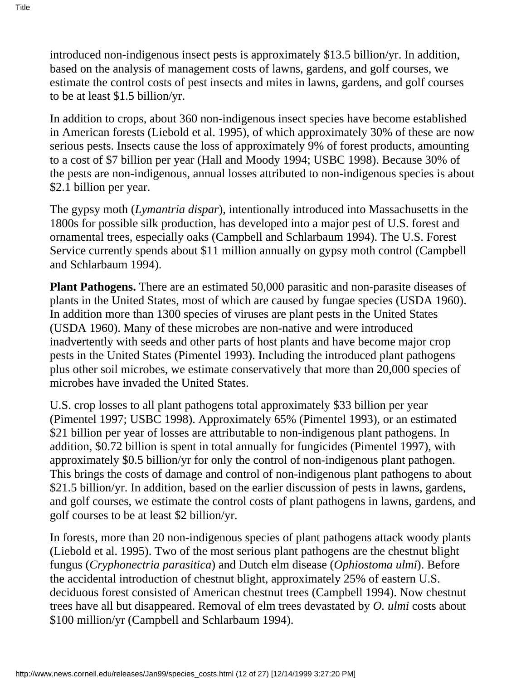Title

introduced non-indigenous insect pests is approximately \$13.5 billion/yr. In addition, based on the analysis of management costs of lawns, gardens, and golf courses, we estimate the control costs of pest insects and mites in lawns, gardens, and golf courses to be at least \$1.5 billion/yr.

In addition to crops, about 360 non-indigenous insect species have become established in American forests (Liebold et al. 1995), of which approximately 30% of these are now serious pests. Insects cause the loss of approximately 9% of forest products, amounting to a cost of \$7 billion per year (Hall and Moody 1994; USBC 1998). Because 30% of the pests are non-indigenous, annual losses attributed to non-indigenous species is about \$2.1 billion per year.

The gypsy moth (*Lymantria dispar*), intentionally introduced into Massachusetts in the 1800s for possible silk production, has developed into a major pest of U.S. forest and ornamental trees, especially oaks (Campbell and Schlarbaum 1994). The U.S. Forest Service currently spends about \$11 million annually on gypsy moth control (Campbell and Schlarbaum 1994).

**Plant Pathogens.** There are an estimated 50,000 parasitic and non-parasite diseases of plants in the United States, most of which are caused by fungae species (USDA 1960). In addition more than 1300 species of viruses are plant pests in the United States (USDA 1960). Many of these microbes are non-native and were introduced inadvertently with seeds and other parts of host plants and have become major crop pests in the United States (Pimentel 1993). Including the introduced plant pathogens plus other soil microbes, we estimate conservatively that more than 20,000 species of microbes have invaded the United States.

U.S. crop losses to all plant pathogens total approximately \$33 billion per year (Pimentel 1997; USBC 1998). Approximately 65% (Pimentel 1993), or an estimated \$21 billion per year of losses are attributable to non-indigenous plant pathogens. In addition, \$0.72 billion is spent in total annually for fungicides (Pimentel 1997), with approximately \$0.5 billion/yr for only the control of non-indigenous plant pathogen. This brings the costs of damage and control of non-indigenous plant pathogens to about \$21.5 billion/yr. In addition, based on the earlier discussion of pests in lawns, gardens, and golf courses, we estimate the control costs of plant pathogens in lawns, gardens, and golf courses to be at least \$2 billion/yr.

In forests, more than 20 non-indigenous species of plant pathogens attack woody plants (Liebold et al. 1995). Two of the most serious plant pathogens are the chestnut blight fungus (*Cryphonectria parasitica*) and Dutch elm disease (*Ophiostoma ulmi*). Before the accidental introduction of chestnut blight, approximately 25% of eastern U.S. deciduous forest consisted of American chestnut trees (Campbell 1994). Now chestnut trees have all but disappeared. Removal of elm trees devastated by *O. ulmi* costs about \$100 million/yr (Campbell and Schlarbaum 1994).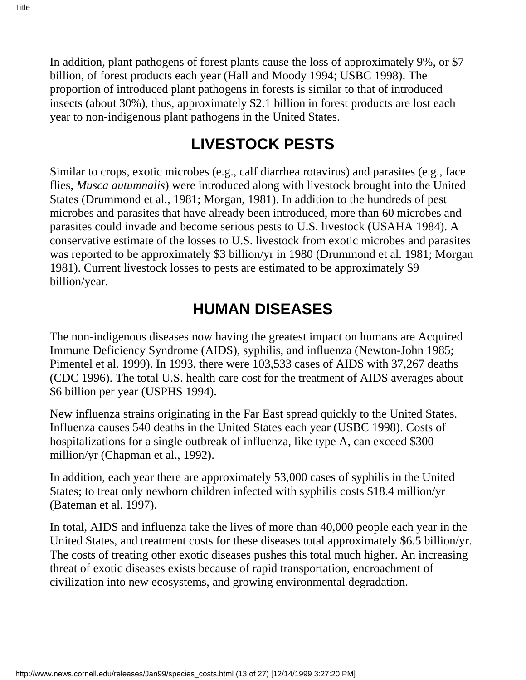In addition, plant pathogens of forest plants cause the loss of approximately 9%, or \$7 billion, of forest products each year (Hall and Moody 1994; USBC 1998). The proportion of introduced plant pathogens in forests is similar to that of introduced insects (about 30%), thus, approximately \$2.1 billion in forest products are lost each year to non-indigenous plant pathogens in the United States.

# **LIVESTOCK PESTS**

Similar to crops, exotic microbes (e.g., calf diarrhea rotavirus) and parasites (e.g., face flies, *Musca autumnalis*) were introduced along with livestock brought into the United States (Drummond et al., 1981; Morgan, 1981). In addition to the hundreds of pest microbes and parasites that have already been introduced, more than 60 microbes and parasites could invade and become serious pests to U.S. livestock (USAHA 1984). A conservative estimate of the losses to U.S. livestock from exotic microbes and parasites was reported to be approximately \$3 billion/yr in 1980 (Drummond et al. 1981; Morgan 1981). Current livestock losses to pests are estimated to be approximately \$9 billion/year.

# **HUMAN DISEASES**

The non-indigenous diseases now having the greatest impact on humans are Acquired Immune Deficiency Syndrome (AIDS), syphilis, and influenza (Newton-John 1985; Pimentel et al. 1999). In 1993, there were 103,533 cases of AIDS with 37,267 deaths (CDC 1996). The total U.S. health care cost for the treatment of AIDS averages about \$6 billion per year (USPHS 1994).

New influenza strains originating in the Far East spread quickly to the United States. Influenza causes 540 deaths in the United States each year (USBC 1998). Costs of hospitalizations for a single outbreak of influenza, like type A, can exceed \$300 million/yr (Chapman et al., 1992).

In addition, each year there are approximately 53,000 cases of syphilis in the United States; to treat only newborn children infected with syphilis costs \$18.4 million/yr (Bateman et al. 1997).

In total, AIDS and influenza take the lives of more than 40,000 people each year in the United States, and treatment costs for these diseases total approximately \$6.5 billion/yr. The costs of treating other exotic diseases pushes this total much higher. An increasing threat of exotic diseases exists because of rapid transportation, encroachment of civilization into new ecosystems, and growing environmental degradation.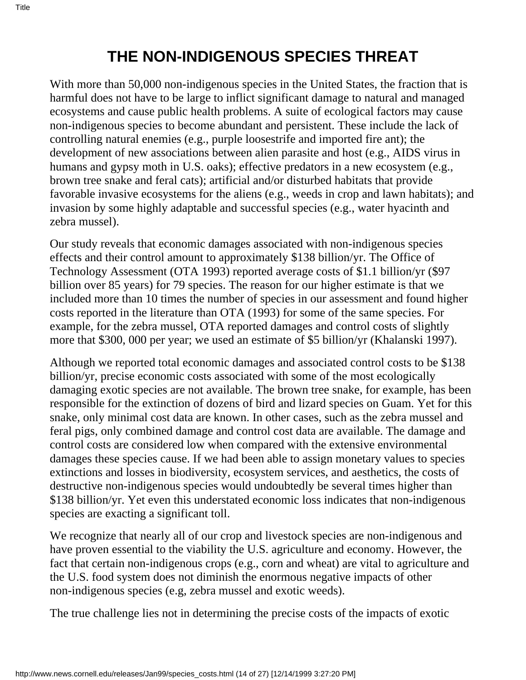With more than 50,000 non-indigenous species in the United States, the fraction that is harmful does not have to be large to inflict significant damage to natural and managed ecosystems and cause public health problems. A suite of ecological factors may cause non-indigenous species to become abundant and persistent. These include the lack of controlling natural enemies (e.g., purple loosestrife and imported fire ant); the development of new associations between alien parasite and host (e.g., AIDS virus in humans and gypsy moth in U.S. oaks); effective predators in a new ecosystem (e.g., brown tree snake and feral cats); artificial and/or disturbed habitats that provide favorable invasive ecosystems for the aliens (e.g., weeds in crop and lawn habitats); and invasion by some highly adaptable and successful species (e.g., water hyacinth and zebra mussel).

Our study reveals that economic damages associated with non-indigenous species effects and their control amount to approximately \$138 billion/yr. The Office of Technology Assessment (OTA 1993) reported average costs of \$1.1 billion/yr (\$97 billion over 85 years) for 79 species. The reason for our higher estimate is that we included more than 10 times the number of species in our assessment and found higher costs reported in the literature than OTA (1993) for some of the same species. For example, for the zebra mussel, OTA reported damages and control costs of slightly more that \$300, 000 per year; we used an estimate of \$5 billion/yr (Khalanski 1997).

Although we reported total economic damages and associated control costs to be \$138 billion/yr, precise economic costs associated with some of the most ecologically damaging exotic species are not available. The brown tree snake, for example, has been responsible for the extinction of dozens of bird and lizard species on Guam. Yet for this snake, only minimal cost data are known. In other cases, such as the zebra mussel and feral pigs, only combined damage and control cost data are available. The damage and control costs are considered low when compared with the extensive environmental damages these species cause. If we had been able to assign monetary values to species extinctions and losses in biodiversity, ecosystem services, and aesthetics, the costs of destructive non-indigenous species would undoubtedly be several times higher than \$138 billion/yr. Yet even this understated economic loss indicates that non-indigenous species are exacting a significant toll.

We recognize that nearly all of our crop and livestock species are non-indigenous and have proven essential to the viability the U.S. agriculture and economy. However, the fact that certain non-indigenous crops (e.g., corn and wheat) are vital to agriculture and the U.S. food system does not diminish the enormous negative impacts of other non-indigenous species (e.g, zebra mussel and exotic weeds).

The true challenge lies not in determining the precise costs of the impacts of exotic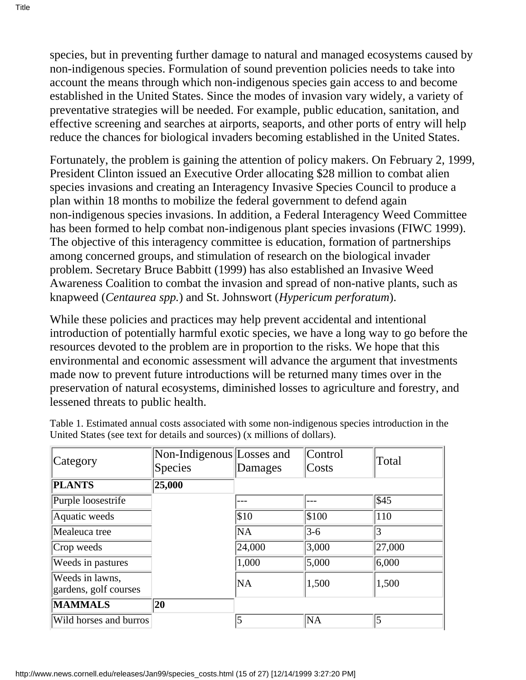species, but in preventing further damage to natural and managed ecosystems caused by non-indigenous species. Formulation of sound prevention policies needs to take into account the means through which non-indigenous species gain access to and become established in the United States. Since the modes of invasion vary widely, a variety of preventative strategies will be needed. For example, public education, sanitation, and effective screening and searches at airports, seaports, and other ports of entry will help reduce the chances for biological invaders becoming established in the United States.

Fortunately, the problem is gaining the attention of policy makers. On February 2, 1999, President Clinton issued an Executive Order allocating \$28 million to combat alien species invasions and creating an Interagency Invasive Species Council to produce a plan within 18 months to mobilize the federal government to defend again non-indigenous species invasions. In addition, a Federal Interagency Weed Committee has been formed to help combat non-indigenous plant species invasions (FIWC 1999). The objective of this interagency committee is education, formation of partnerships among concerned groups, and stimulation of research on the biological invader problem. Secretary Bruce Babbitt (1999) has also established an Invasive Weed Awareness Coalition to combat the invasion and spread of non-native plants, such as knapweed (*Centaurea spp.*) and St. Johnswort (*Hypericum perforatum*).

While these policies and practices may help prevent accidental and intentional introduction of potentially harmful exotic species, we have a long way to go before the resources devoted to the problem are in proportion to the risks. We hope that this environmental and economic assessment will advance the argument that investments made now to prevent future introductions will be returned many times over in the preservation of natural ecosystems, diminished losses to agriculture and forestry, and lessened threats to public health.

| Category                                 | Non-Indigenous Losses and<br>Species | Damages | Control<br>Costs | Total  |
|------------------------------------------|--------------------------------------|---------|------------------|--------|
| <b>PLANTS</b>                            | 25,000                               |         |                  |        |
| Purple loosestrife                       |                                      |         |                  | \$45   |
| Aquatic weeds                            |                                      | $\$10$  | \$100            | 110    |
| Mealeuca tree                            |                                      | lΝA     | $3-6$            | 3      |
| Crop weeds                               |                                      | 24,000  | 3,000            | 27,000 |
| Weeds in pastures                        |                                      | 1,000   | 5,000            | 6,000  |
| Weeds in lawns,<br>gardens, golf courses |                                      | lΝA     | 1,500            | 1,500  |
| <b>MAMMALS</b>                           | 20                                   |         |                  |        |
| Wild horses and burros                   |                                      | 5       | NA               | 5      |

Table 1. Estimated annual costs associated with some non-indigenous species introduction in the United States (see text for details and sources) (x millions of dollars).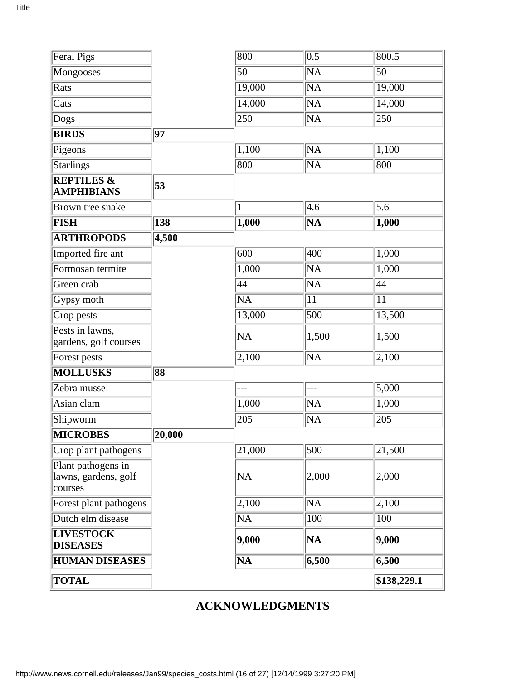| <b>TOTAL</b>                                          |                 |                    |                          | \$138,229.1        |
|-------------------------------------------------------|-----------------|--------------------|--------------------------|--------------------|
| <b>HUMAN DISEASES</b>                                 |                 | <b>NA</b>          | 6,500                    | 6,500              |
| <b>LIVESTOCK</b><br><b>DISEASES</b>                   |                 | 9,000              | NA                       | 9,000              |
| Dutch elm disease                                     |                 | $N\overline{A}$    | 100                      | 100                |
| Forest plant pathogens                                |                 | 2,100              | NA                       | 2,100              |
| Plant pathogens in<br>lawns, gardens, golf<br>courses |                 | <b>NA</b>          | 2,000                    | 2,000              |
| Crop plant pathogens                                  |                 | 21,000             | $\overline{500}$         | 21,500             |
| <b>MICROBES</b>                                       | $\sqrt{20,000}$ |                    |                          |                    |
| Shipworm                                              |                 | 205                | $N_A$                    | $\sqrt{205}$       |
| Asian clam                                            |                 | 1,000              | NA                       | 1,000              |
| Zebra mussel                                          |                 | $---$              | $ -$                     | 5,000              |
| <b>MOLLUSKS</b>                                       | 88              |                    |                          |                    |
| Forest pests                                          |                 | $\overline{2,100}$ | $\overline{\text{NA}}$   | $\sqrt{2,100}$     |
| Pests in lawns,<br>gardens, golf courses              |                 | <b>NA</b>          | 1,500                    | 1,500              |
| Crop pests                                            |                 | 13,000             | 500                      | 13,500             |
| Gypsy moth                                            |                 | <b>NA</b>          | 11                       | 11                 |
| Green crab                                            |                 | 44                 | $\overline{\text{NA}}$   | $\overline{44}$    |
| Formosan termite                                      |                 | 1,000              | NA                       | 1,000              |
| Imported fire ant                                     |                 | 600                | 400                      | 1,000              |
| <b>ARTHROPODS</b>                                     | 4,500           |                    |                          |                    |
| <b>FISH</b>                                           | 138             | $\overline{1,000}$ | $\overline{\mathbf{NA}}$ | $\overline{1,000}$ |
| <b>AMPHIBIANS</b><br>Brown tree snake                 | 53              | $\mathbf{1}$       | 4.6                      | 5.6                |
| <b>Starlings</b><br><b>REPTILES &amp;</b>             |                 |                    |                          |                    |
| Pigeons                                               |                 | 1,100<br>800       | NA                       | 1,100<br>800       |
| <b>BIRDS</b>                                          | $\overline{97}$ |                    | $\overline{\text{NA}}$   |                    |
| Dogs                                                  |                 | 250                | $\overline{\text{NA}}$   | 250                |
| Cats                                                  |                 | 14,000             | NA                       | 14,000             |
| Rats                                                  |                 | 19,000             | NA                       | 19,000             |
| Mongooses                                             |                 | 50                 | NA                       | $\overline{50}$    |
| Feral Pigs                                            |                 | 800                | $\overline{0.5}$         | 800.5              |

### **ACKNOWLEDGMENTS**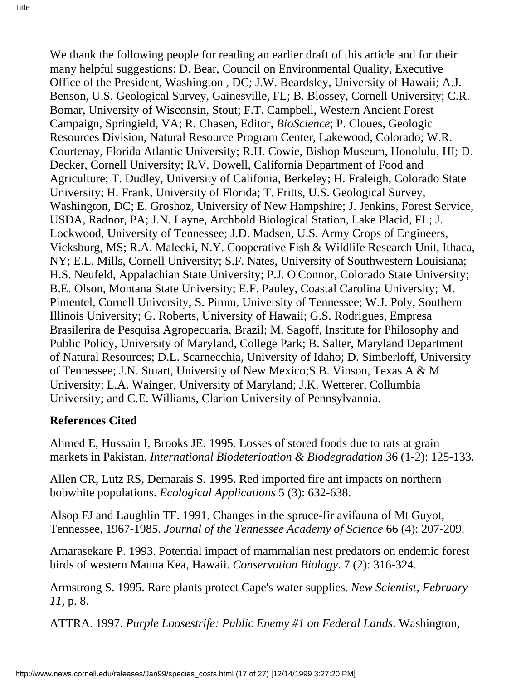We thank the following people for reading an earlier draft of this article and for their many helpful suggestions: D. Bear, Council on Environmental Quality, Executive Office of the President, Washington , DC; J.W. Beardsley, University of Hawaii; A.J. Benson, U.S. Geological Survey, Gainesville, FL; B. Blossey, Cornell University; C.R. Bomar, University of Wisconsin, Stout; F.T. Campbell, Western Ancient Forest Campaign, Springield, VA; R. Chasen, Editor, *BioScience*; P. Cloues, Geologic Resources Division, Natural Resource Program Center, Lakewood, Colorado; W.R. Courtenay, Florida Atlantic University; R.H. Cowie, Bishop Museum, Honolulu, HI; D. Decker, Cornell University; R.V. Dowell, California Department of Food and Agriculture; T. Dudley, University of Califonia, Berkeley; H. Fraleigh, Colorado State University; H. Frank, University of Florida; T. Fritts, U.S. Geological Survey, Washington, DC; E. Groshoz, University of New Hampshire; J. Jenkins, Forest Service, USDA, Radnor, PA; J.N. Layne, Archbold Biological Station, Lake Placid, FL; J. Lockwood, University of Tennessee; J.D. Madsen, U.S. Army Crops of Engineers, Vicksburg, MS; R.A. Malecki, N.Y. Cooperative Fish & Wildlife Research Unit, Ithaca, NY; E.L. Mills, Cornell University; S.F. Nates, University of Southwestern Louisiana; H.S. Neufeld, Appalachian State University; P.J. O'Connor, Colorado State University; B.E. Olson, Montana State University; E.F. Pauley, Coastal Carolina University; M. Pimentel, Cornell University; S. Pimm, University of Tennessee; W.J. Poly, Southern Illinois University; G. Roberts, University of Hawaii; G.S. Rodrigues, Empresa Brasilerira de Pesquisa Agropecuaria, Brazil; M. Sagoff, Institute for Philosophy and Public Policy, University of Maryland, College Park; B. Salter, Maryland Department of Natural Resources; D.L. Scarnecchia, University of Idaho; D. Simberloff, University of Tennessee; J.N. Stuart, University of New Mexico;S.B. Vinson, Texas A & M University; L.A. Wainger, University of Maryland; J.K. Wetterer, Collumbia University; and C.E. Williams, Clarion University of Pennsylvannia.

#### **References Cited**

Ahmed E, Hussain I, Brooks JE. 1995. Losses of stored foods due to rats at grain markets in Pakistan. *International Biodeterioation & Biodegradation* 36 (1-2): 125-133.

Allen CR, Lutz RS, Demarais S. 1995. Red imported fire ant impacts on northern bobwhite populations. *Ecological Applications* 5 (3): 632-638.

Alsop FJ and Laughlin TF. 1991. Changes in the spruce-fir avifauna of Mt Guyot, Tennessee, 1967-1985. *Journal of the Tennessee Academy of Science* 66 (4): 207-209.

Amarasekare P. 1993. Potential impact of mammalian nest predators on endemic forest birds of western Mauna Kea, Hawaii. *Conservation Biology*. 7 (2): 316-324.

Armstrong S. 1995. Rare plants protect Cape's water supplies. *New Scientist*, *February 11*, p. 8.

ATTRA. 1997. *Purple Loosestrife: Public Enemy #1 on Federal Lands*. Washington,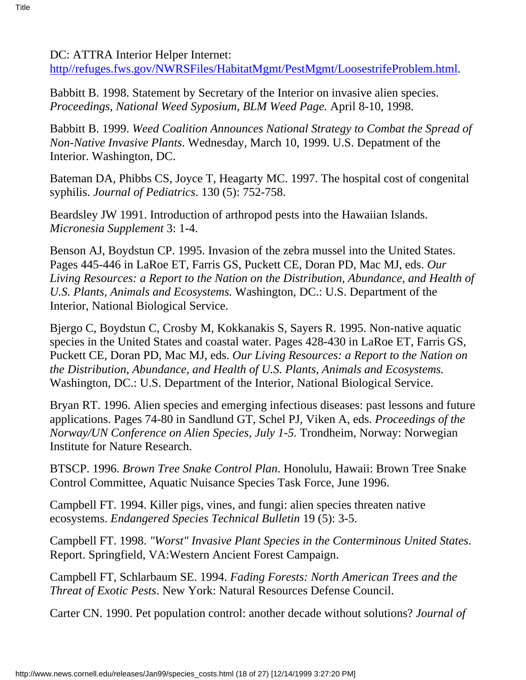DC: ATTRA Interior Helper Internet:

[http//refuges.fws.gov/NWRSFiles/HabitatMgmt/PestMgmt/LoosestrifeProblem.html.](http://www.news.cornell.edu/releases/Jan99/http//refuges.fws.gov/NWRSFiles/HabitatMgmt/PestMgmt/LoosestrifeProblem.html)

Babbitt B. 1998. Statement by Secretary of the Interior on invasive alien species. *Proceedings, National Weed Syposium, BLM Weed Page.* April 8-10, 1998.

Babbitt B. 1999. *Weed Coalition Announces National Strategy to Combat the Spread of Non-Native Invasive Plants*. Wednesday, March 10, 1999. U.S. Depatment of the Interior. Washington, DC.

Bateman DA, Phibbs CS, Joyce T, Heagarty MC. 1997. The hospital cost of congenital syphilis. *Journal of Pediatrics*. 130 (5): 752-758.

Beardsley JW 1991. Introduction of arthropod pests into the Hawaiian Islands. *Micronesia Supplement* 3: 1-4.

Benson AJ, Boydstun CP. 1995. Invasion of the zebra mussel into the United States. Pages 445-446 in LaRoe ET, Farris GS, Puckett CE, Doran PD, Mac MJ, eds. *Our Living Resources: a Report to the Nation on the Distribution, Abundance, and Health of U.S. Plants, Animals and Ecosystems.* Washington, DC.: U.S. Department of the Interior, National Biological Service.

Bjergo C, Boydstun C, Crosby M, Kokkanakis S, Sayers R. 1995. Non-native aquatic species in the United States and coastal water. Pages 428-430 in LaRoe ET, Farris GS, Puckett CE, Doran PD, Mac MJ, eds. *Our Living Resources: a Report to the Nation on the Distribution, Abundance, and Health of U.S. Plants, Animals and Ecosystems.* Washington, DC.: U.S. Department of the Interior, National Biological Service.

Bryan RT. 1996. Alien species and emerging infectious diseases: past lessons and future applications. Pages 74-80 in Sandlund GT, Schel PJ, Viken A, eds. *Proceedings of the Norway/UN Conference on Alien Species, July 1-5.* Trondheim, Norway: Norwegian Institute for Nature Research.

BTSCP. 1996. *Brown Tree Snake Control Plan*. Honolulu, Hawaii: Brown Tree Snake Control Committee, Aquatic Nuisance Species Task Force, June 1996.

Campbell FT. 1994. Killer pigs, vines, and fungi: alien species threaten native ecosystems. *Endangered Species Technical Bulletin* 19 (5): 3-5.

Campbell FT. 1998. *"Worst" Invasive Plant Species in the Conterminous United States*. Report. Springfield, VA:Western Ancient Forest Campaign.

Campbell FT, Schlarbaum SE. 1994. *Fading Forests: North American Trees and the Threat of Exotic Pests*. New York: Natural Resources Defense Council.

Carter CN. 1990. Pet population control: another decade without solutions? *Journal of*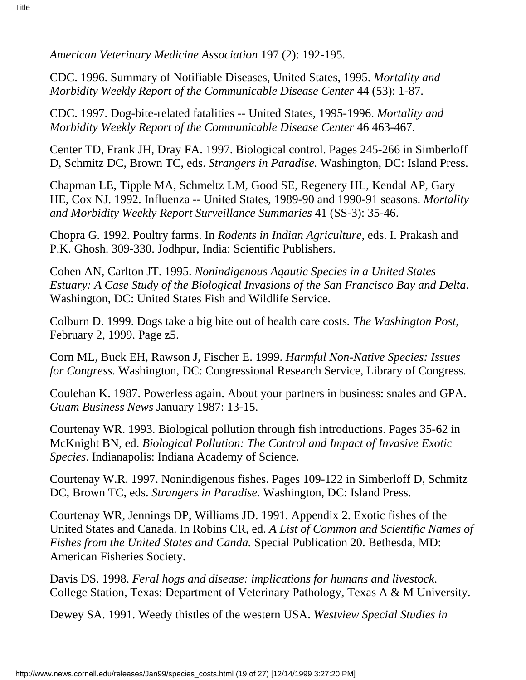*American Veterinary Medicine Association* 197 (2): 192-195.

CDC. 1996. Summary of Notifiable Diseases, United States, 1995. *Mortality and Morbidity Weekly Report of the Communicable Disease Center* 44 (53): 1-87.

CDC. 1997. Dog-bite-related fatalities -- United States, 1995-1996. *Mortality and Morbidity Weekly Report of the Communicable Disease Center* 46 463-467.

Center TD, Frank JH, Dray FA. 1997. Biological control. Pages 245-266 in Simberloff D, Schmitz DC, Brown TC, eds. *Strangers in Paradise.* Washington, DC: Island Press.

Chapman LE, Tipple MA, Schmeltz LM, Good SE, Regenery HL, Kendal AP, Gary HE, Cox NJ. 1992. Influenza -- United States, 1989-90 and 1990-91 seasons. *Mortality and Morbidity Weekly Report Surveillance Summaries* 41 (SS-3): 35-46.

Chopra G. 1992. Poultry farms. In *Rodents in Indian Agriculture*, eds. I. Prakash and P.K. Ghosh. 309-330. Jodhpur, India: Scientific Publishers.

Cohen AN, Carlton JT. 1995. *Nonindigenous Aqautic Species in a United States Estuary: A Case Study of the Biological Invasions of the San Francisco Bay and Delta*. Washington, DC: United States Fish and Wildlife Service.

Colburn D. 1999. Dogs take a big bite out of health care costs*. The Washington Post*, February 2, 1999. Page z5.

Corn ML, Buck EH, Rawson J, Fischer E. 1999. *Harmful Non-Native Species: Issues for Congress*. Washington, DC: Congressional Research Service, Library of Congress.

Coulehan K. 1987. Powerless again. About your partners in business: snales and GPA. *Guam Business News* January 1987: 13-15.

Courtenay WR. 1993. Biological pollution through fish introductions. Pages 35-62 in McKnight BN, ed. *Biological Pollution: The Control and Impact of Invasive Exotic Species*. Indianapolis: Indiana Academy of Science.

Courtenay W.R. 1997. Nonindigenous fishes. Pages 109-122 in Simberloff D, Schmitz DC, Brown TC, eds. *Strangers in Paradise.* Washington, DC: Island Press.

Courtenay WR, Jennings DP, Williams JD. 1991. Appendix 2. Exotic fishes of the United States and Canada. In Robins CR, ed. *A List of Common and Scientific Names of Fishes from the United States and Canda.* Special Publication 20. Bethesda, MD: American Fisheries Society.

Davis DS. 1998. *Feral hogs and disease: implications for humans and livestock*. College Station, Texas: Department of Veterinary Pathology, Texas A & M University.

Dewey SA. 1991. Weedy thistles of the western USA. *Westview Special Studies in*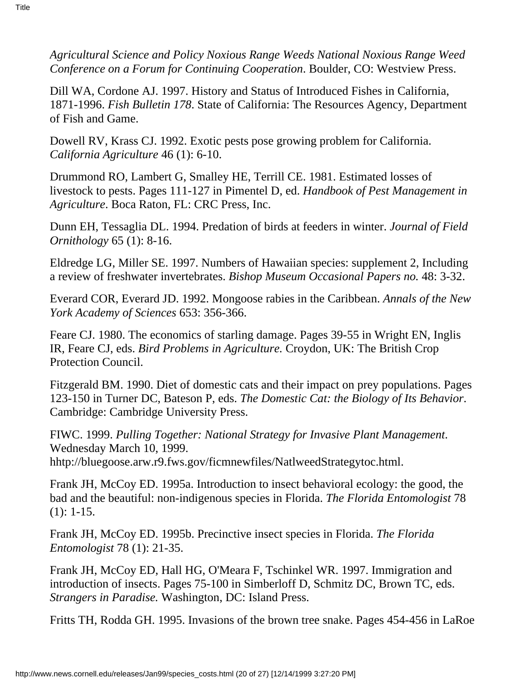Dill WA, Cordone AJ. 1997. History and Status of Introduced Fishes in California, 1871-1996. *Fish Bulletin 178*. State of California: The Resources Agency, Department of Fish and Game.

Dowell RV, Krass CJ. 1992. Exotic pests pose growing problem for California. *California Agriculture* 46 (1): 6-10.

Drummond RO, Lambert G, Smalley HE, Terrill CE. 1981. Estimated losses of livestock to pests. Pages 111-127 in Pimentel D, ed. *Handbook of Pest Management in Agriculture*. Boca Raton, FL: CRC Press, Inc.

Dunn EH, Tessaglia DL. 1994. Predation of birds at feeders in winter. *Journal of Field Ornithology* 65 (1): 8-16.

Eldredge LG, Miller SE. 1997. Numbers of Hawaiian species: supplement 2, Including a review of freshwater invertebrates. *Bishop Museum Occasional Papers no.* 48: 3-32.

Everard COR, Everard JD. 1992. Mongoose rabies in the Caribbean. *Annals of the New York Academy of Sciences* 653: 356-366.

Feare CJ. 1980. The economics of starling damage. Pages 39-55 in Wright EN, Inglis IR, Feare CJ, eds. *Bird Problems in Agriculture.* Croydon, UK: The British Crop Protection Council.

Fitzgerald BM. 1990. Diet of domestic cats and their impact on prey populations. Pages 123-150 in Turner DC, Bateson P, eds. *The Domestic Cat: the Biology of Its Behavior*. Cambridge: Cambridge University Press.

FIWC. 1999. *Pulling Together: National Strategy for Invasive Plant Management*. Wednesday March 10, 1999. hhtp://bluegoose.arw.r9.fws.gov/ficmnewfiles/NatlweedStrategytoc.html.

Frank JH, McCoy ED. 1995a. Introduction to insect behavioral ecology: the good, the bad and the beautiful: non-indigenous species in Florida. *The Florida Entomologist* 78 (1): 1-15.

Frank JH, McCoy ED. 1995b. Precinctive insect species in Florida. *The Florida Entomologist* 78 (1): 21-35.

Frank JH, McCoy ED, Hall HG, O'Meara F, Tschinkel WR. 1997. Immigration and introduction of insects. Pages 75-100 in Simberloff D, Schmitz DC, Brown TC, eds. *Strangers in Paradise.* Washington, DC: Island Press.

Fritts TH, Rodda GH. 1995. Invasions of the brown tree snake. Pages 454-456 in LaRoe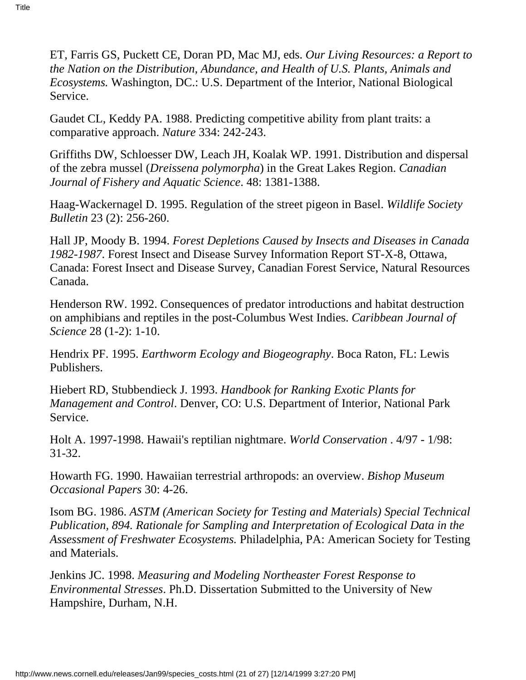ET, Farris GS, Puckett CE, Doran PD, Mac MJ, eds. *Our Living Resources: a Report to the Nation on the Distribution, Abundance, and Health of U.S. Plants, Animals and*

*Ecosystems.* Washington, DC.: U.S. Department of the Interior, National Biological Service.

Gaudet CL, Keddy PA. 1988. Predicting competitive ability from plant traits: a comparative approach. *Nature* 334: 242-243.

Griffiths DW, Schloesser DW, Leach JH, Koalak WP. 1991. Distribution and dispersal of the zebra mussel (*Dreissena polymorpha*) in the Great Lakes Region. *Canadian Journal of Fishery and Aquatic Science*. 48: 1381-1388.

Haag-Wackernagel D. 1995. Regulation of the street pigeon in Basel. *Wildlife Society Bulletin* 23 (2): 256-260.

Hall JP, Moody B. 1994. *Forest Depletions Caused by Insects and Diseases in Canada 1982-1987*. Forest Insect and Disease Survey Information Report ST-X-8, Ottawa, Canada: Forest Insect and Disease Survey, Canadian Forest Service, Natural Resources Canada.

Henderson RW. 1992. Consequences of predator introductions and habitat destruction on amphibians and reptiles in the post-Columbus West Indies. *Caribbean Journal of Science* 28 (1-2): 1-10.

Hendrix PF. 1995. *Earthworm Ecology and Biogeography*. Boca Raton, FL: Lewis Publishers.

Hiebert RD, Stubbendieck J. 1993. *Handbook for Ranking Exotic Plants for Management and Control*. Denver, CO: U.S. Department of Interior, National Park Service.

Holt A. 1997-1998. Hawaii's reptilian nightmare. *World Conservation* . 4/97 - 1/98: 31-32.

Howarth FG. 1990. Hawaiian terrestrial arthropods: an overview. *Bishop Museum Occasional Papers* 30: 4-26.

Isom BG. 1986. *ASTM (American Society for Testing and Materials) Special Technical Publication, 894. Rationale for Sampling and Interpretation of Ecological Data in the Assessment of Freshwater Ecosystems.* Philadelphia, PA: American Society for Testing and Materials.

Jenkins JC. 1998. *Measuring and Modeling Northeaster Forest Response to Environmental Stresses*. Ph.D. Dissertation Submitted to the University of New Hampshire, Durham, N.H.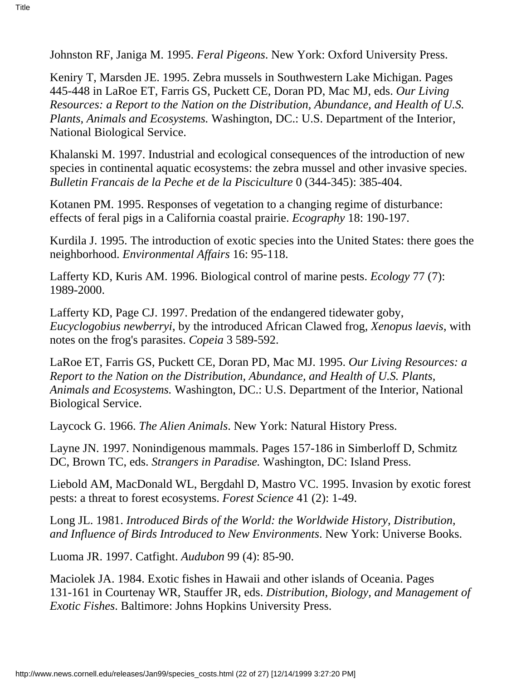Keniry T, Marsden JE. 1995. Zebra mussels in Southwestern Lake Michigan. Pages 445-448 in LaRoe ET, Farris GS, Puckett CE, Doran PD, Mac MJ, eds. *Our Living Resources: a Report to the Nation on the Distribution, Abundance, and Health of U.S. Plants, Animals and Ecosystems.* Washington, DC.: U.S. Department of the Interior, National Biological Service.

Khalanski M. 1997. Industrial and ecological consequences of the introduction of new species in continental aquatic ecosystems: the zebra mussel and other invasive species. *Bulletin Francais de la Peche et de la Pisciculture* 0 (344-345): 385-404.

Kotanen PM. 1995. Responses of vegetation to a changing regime of disturbance: effects of feral pigs in a California coastal prairie. *Ecography* 18: 190-197.

Kurdila J. 1995. The introduction of exotic species into the United States: there goes the neighborhood. *Environmental Affairs* 16: 95-118.

Lafferty KD, Kuris AM. 1996. Biological control of marine pests. *Ecology* 77 (7): 1989-2000.

Lafferty KD, Page CJ. 1997. Predation of the endangered tidewater goby, *Eucyclogobius newberryi*, by the introduced African Clawed frog, *Xenopus laevis*, with notes on the frog's parasites. *Copeia* 3 589-592.

LaRoe ET, Farris GS, Puckett CE, Doran PD, Mac MJ. 1995. *Our Living Resources: a Report to the Nation on the Distribution, Abundance, and Health of U.S. Plants, Animals and Ecosystems.* Washington, DC.: U.S. Department of the Interior, National Biological Service.

Laycock G. 1966. *The Alien Animals*. New York: Natural History Press.

Layne JN. 1997. Nonindigenous mammals. Pages 157-186 in Simberloff D, Schmitz DC, Brown TC, eds. *Strangers in Paradise.* Washington, DC: Island Press.

Liebold AM, MacDonald WL, Bergdahl D, Mastro VC. 1995. Invasion by exotic forest pests: a threat to forest ecosystems. *Forest Science* 41 (2): 1-49.

Long JL. 1981. *Introduced Birds of the World: the Worldwide History, Distribution, and Influence of Birds Introduced to New Environments*. New York: Universe Books.

Luoma JR. 1997. Catfight. *Audubon* 99 (4): 85-90.

Maciolek JA. 1984. Exotic fishes in Hawaii and other islands of Oceania. Pages 131-161 in Courtenay WR, Stauffer JR, eds. *Distribution, Biology, and Management of Exotic Fishes*. Baltimore: Johns Hopkins University Press.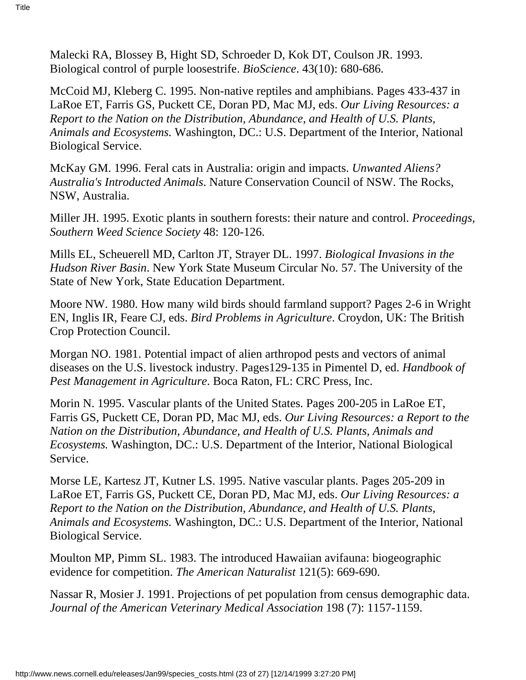Malecki RA, Blossey B, Hight SD, Schroeder D, Kok DT, Coulson JR. 1993. Biological control of purple loosestrife. *BioScience*. 43(10): 680-686.

McCoid MJ, Kleberg C. 1995. Non-native reptiles and amphibians. Pages 433-437 in LaRoe ET, Farris GS, Puckett CE, Doran PD, Mac MJ, eds. *Our Living Resources: a Report to the Nation on the Distribution, Abundance, and Health of U.S. Plants, Animals and Ecosystems.* Washington, DC.: U.S. Department of the Interior, National Biological Service.

McKay GM. 1996. Feral cats in Australia: origin and impacts. *Unwanted Aliens? Australia's Introducted Animals*. Nature Conservation Council of NSW. The Rocks, NSW, Australia.

Miller JH. 1995. Exotic plants in southern forests: their nature and control. *Proceedings, Southern Weed Science Society* 48: 120-126.

Mills EL, Scheuerell MD, Carlton JT, Strayer DL. 1997. *Biological Invasions in the Hudson River Basin*. New York State Museum Circular No. 57. The University of the State of New York, State Education Department.

Moore NW. 1980. How many wild birds should farmland support? Pages 2-6 in Wright EN, Inglis IR, Feare CJ, eds. *Bird Problems in Agriculture*. Croydon, UK: The British Crop Protection Council.

Morgan NO. 1981. Potential impact of alien arthropod pests and vectors of animal diseases on the U.S. livestock industry. Pages129-135 in Pimentel D, ed. *Handbook of Pest Management in Agriculture*. Boca Raton, FL: CRC Press, Inc.

Morin N. 1995. Vascular plants of the United States. Pages 200-205 in LaRoe ET, Farris GS, Puckett CE, Doran PD, Mac MJ, eds. *Our Living Resources: a Report to the Nation on the Distribution, Abundance, and Health of U.S. Plants, Animals and Ecosystems.* Washington, DC.: U.S. Department of the Interior, National Biological Service.

Morse LE, Kartesz JT, Kutner LS. 1995. Native vascular plants. Pages 205-209 in LaRoe ET, Farris GS, Puckett CE, Doran PD, Mac MJ, eds. *Our Living Resources: a Report to the Nation on the Distribution, Abundance, and Health of U.S. Plants, Animals and Ecosystems.* Washington, DC.: U.S. Department of the Interior, National Biological Service.

Moulton MP, Pimm SL. 1983. The introduced Hawaiian avifauna: biogeographic evidence for competition. *The American Naturalist* 121(5): 669-690.

Nassar R, Mosier J. 1991. Projections of pet population from census demographic data. *Journal of the American Veterinary Medical Association* 198 (7): 1157-1159.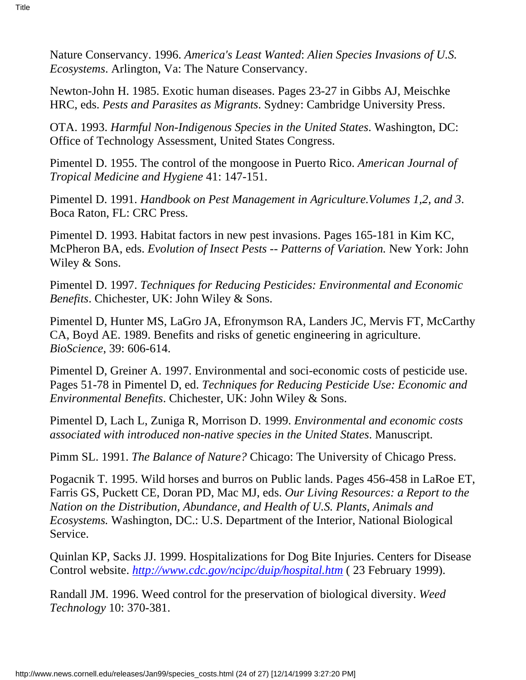Nature Conservancy. 1996. *America's Least Wanted*: *Alien Species Invasions of U.S. Ecosystems*. Arlington, Va: The Nature Conservancy.

Newton-John H. 1985. Exotic human diseases. Pages 23-27 in Gibbs AJ, Meischke HRC, eds. *Pests and Parasites as Migrants*. Sydney: Cambridge University Press.

OTA. 1993. *Harmful Non-Indigenous Species in the United States*. Washington, DC: Office of Technology Assessment, United States Congress.

Pimentel D. 1955. The control of the mongoose in Puerto Rico. *American Journal of Tropical Medicine and Hygiene* 41: 147-151.

Pimentel D. 1991. *Handbook on Pest Management in Agriculture.Volumes 1,2, and 3*. Boca Raton, FL: CRC Press.

Pimentel D. 1993. Habitat factors in new pest invasions. Pages 165-181 in Kim KC, McPheron BA, eds. *Evolution of Insect Pests -- Patterns of Variation.* New York: John Wiley & Sons.

Pimentel D. 1997. *Techniques for Reducing Pesticides: Environmental and Economic Benefits*. Chichester, UK: John Wiley & Sons.

Pimentel D, Hunter MS, LaGro JA, Efronymson RA, Landers JC, Mervis FT, McCarthy CA, Boyd AE. 1989. Benefits and risks of genetic engineering in agriculture. *BioScience*, 39: 606-614.

Pimentel D, Greiner A. 1997. Environmental and soci-economic costs of pesticide use. Pages 51-78 in Pimentel D, ed. *Techniques for Reducing Pesticide Use: Economic and Environmental Benefits*. Chichester, UK: John Wiley & Sons.

Pimentel D, Lach L, Zuniga R, Morrison D. 1999. *Environmental and economic costs associated with introduced non-native species in the United States*. Manuscript.

Pimm SL. 1991. *The Balance of Nature?* Chicago: The University of Chicago Press.

Pogacnik T. 1995. Wild horses and burros on Public lands. Pages 456-458 in LaRoe ET, Farris GS, Puckett CE, Doran PD, Mac MJ, eds. *Our Living Resources: a Report to the Nation on the Distribution, Abundance, and Health of U.S. Plants, Animals and Ecosystems.* Washington, DC.: U.S. Department of the Interior, National Biological Service.

Quinlan KP, Sacks JJ. 1999. Hospitalizations for Dog Bite Injuries. Centers for Disease Control website. *<http://www.cdc.gov/ncipc/duip/hospital.htm>* ( 23 February 1999).

Randall JM. 1996. Weed control for the preservation of biological diversity. *Weed Technology* 10: 370-381.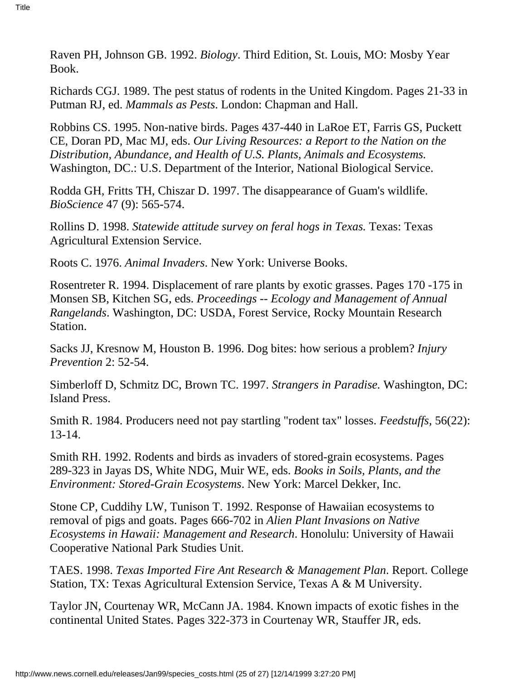Raven PH, Johnson GB. 1992. *Biology*. Third Edition, St. Louis, MO: Mosby Year Book.

Richards CGJ. 1989. The pest status of rodents in the United Kingdom. Pages 21-33 in Putman RJ, ed. *Mammals as Pests*. London: Chapman and Hall.

Robbins CS. 1995. Non-native birds. Pages 437-440 in LaRoe ET, Farris GS, Puckett CE, Doran PD, Mac MJ, eds. *Our Living Resources: a Report to the Nation on the Distribution, Abundance, and Health of U.S. Plants, Animals and Ecosystems.* Washington, DC.: U.S. Department of the Interior, National Biological Service.

Rodda GH, Fritts TH, Chiszar D. 1997. The disappearance of Guam's wildlife. *BioScience* 47 (9): 565-574.

Rollins D. 1998. *Statewide attitude survey on feral hogs in Texas.* Texas: Texas Agricultural Extension Service.

Roots C. 1976. *Animal Invaders*. New York: Universe Books.

Rosentreter R. 1994. Displacement of rare plants by exotic grasses. Pages 170 -175 in Monsen SB, Kitchen SG, eds. *Proceedings -- Ecology and Management of Annual Rangelands*. Washington, DC: USDA, Forest Service, Rocky Mountain Research Station.

Sacks JJ, Kresnow M, Houston B. 1996. Dog bites: how serious a problem? *Injury Prevention* 2: 52-54.

Simberloff D, Schmitz DC, Brown TC. 1997. *Strangers in Paradise.* Washington, DC: Island Press.

Smith R. 1984. Producers need not pay startling "rodent tax" losses. *Feedstuffs*, 56(22): 13-14.

Smith RH. 1992. Rodents and birds as invaders of stored-grain ecosystems. Pages 289-323 in Jayas DS, White NDG, Muir WE, eds. *Books in Soils, Plants, and the Environment: Stored-Grain Ecosystems*. New York: Marcel Dekker, Inc.

Stone CP, Cuddihy LW, Tunison T. 1992. Response of Hawaiian ecosystems to removal of pigs and goats. Pages 666-702 in *Alien Plant Invasions on Native Ecosystems in Hawaii: Management and Research*. Honolulu: University of Hawaii Cooperative National Park Studies Unit.

TAES. 1998. *Texas Imported Fire Ant Research & Management Plan*. Report. College Station, TX: Texas Agricultural Extension Service, Texas A & M University.

Taylor JN, Courtenay WR, McCann JA. 1984. Known impacts of exotic fishes in the continental United States. Pages 322-373 in Courtenay WR, Stauffer JR, eds.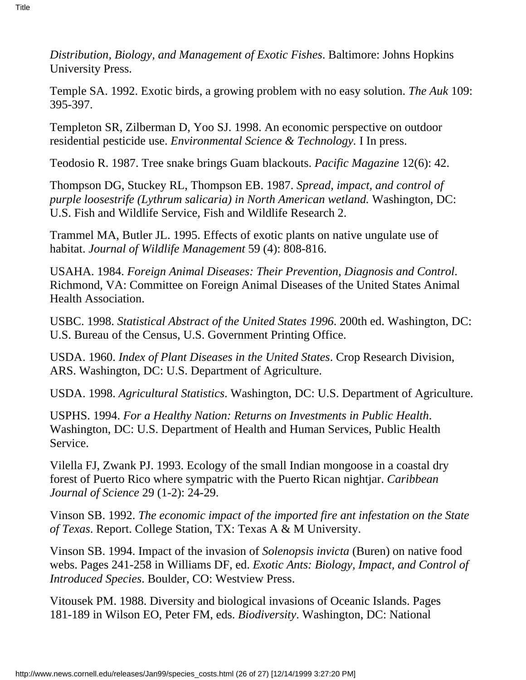Temple SA. 1992. Exotic birds, a growing problem with no easy solution. *The Auk* 109: 395-397.

Templeton SR, Zilberman D, Yoo SJ. 1998. An economic perspective on outdoor residential pesticide use. *Environmental Science & Technology.* I In press.

Teodosio R. 1987. Tree snake brings Guam blackouts. *Pacific Magazine* 12(6): 42.

Thompson DG, Stuckey RL, Thompson EB. 1987. *Spread, impact, and control of purple loosestrife (Lythrum salicaria) in North American wetland.* Washington, DC: U.S. Fish and Wildlife Service, Fish and Wildlife Research 2.

Trammel MA, Butler JL. 1995. Effects of exotic plants on native ungulate use of habitat. *Journal of Wildlife Management* 59 (4): 808-816.

USAHA. 1984. *Foreign Animal Diseases: Their Prevention, Diagnosis and Control*. Richmond, VA: Committee on Foreign Animal Diseases of the United States Animal Health Association.

USBC. 1998. *Statistical Abstract of the United States 1996*. 200th ed. Washington, DC: U.S. Bureau of the Census, U.S. Government Printing Office.

USDA. 1960. *Index of Plant Diseases in the United States*. Crop Research Division, ARS. Washington, DC: U.S. Department of Agriculture.

USDA. 1998. *Agricultural Statistics*. Washington, DC: U.S. Department of Agriculture.

USPHS. 1994. *For a Healthy Nation: Returns on Investments in Public Health*. Washington, DC: U.S. Department of Health and Human Services, Public Health Service.

Vilella FJ, Zwank PJ. 1993. Ecology of the small Indian mongoose in a coastal dry forest of Puerto Rico where sympatric with the Puerto Rican nightjar. *Caribbean Journal of Science* 29 (1-2): 24-29.

Vinson SB. 1992. *The economic impact of the imported fire ant infestation on the State of Texas*. Report. College Station, TX: Texas A & M University.

Vinson SB. 1994. Impact of the invasion of *Solenopsis invicta* (Buren) on native food webs. Pages 241-258 in Williams DF, ed. *Exotic Ants: Biology, Impact, and Control of Introduced Species*. Boulder, CO: Westview Press.

Vitousek PM. 1988. Diversity and biological invasions of Oceanic Islands. Pages 181-189 in Wilson EO, Peter FM, eds. *Biodiversity*. Washington, DC: National